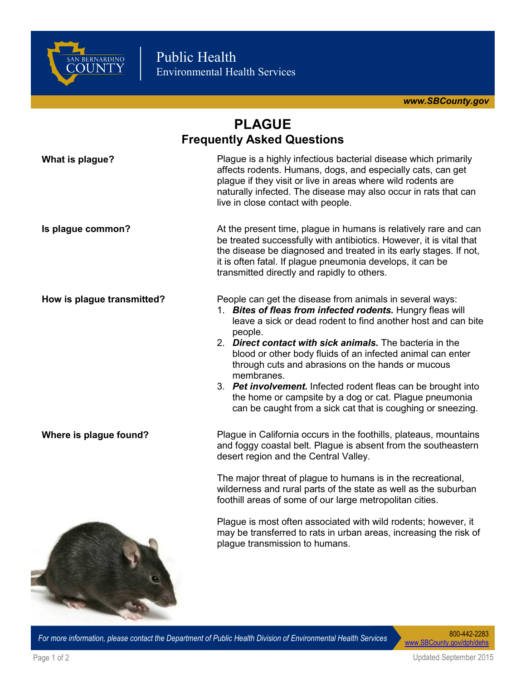

## **PLAGUE Frequently Asked Questions**

| What is plague?            | Plague is a highly infectious bacterial disease which primarily<br>affects rodents. Humans, dogs, and especially cats, can get<br>plague if they visit or live in areas where wild rodents are<br>naturally infected. The disease may also occur in rats that can<br>live in close contact with people.                                                                                                                                                                                                                                                                                   |
|----------------------------|-------------------------------------------------------------------------------------------------------------------------------------------------------------------------------------------------------------------------------------------------------------------------------------------------------------------------------------------------------------------------------------------------------------------------------------------------------------------------------------------------------------------------------------------------------------------------------------------|
| Is plague common?          | At the present time, plague in humans is relatively rare and can<br>be treated successfully with antibiotics. However, it is vital that<br>the disease be diagnosed and treated in its early stages. If not,<br>it is often fatal. If plague pneumonia develops, it can be<br>transmitted directly and rapidly to others.                                                                                                                                                                                                                                                                 |
| How is plague transmitted? | People can get the disease from animals in several ways:<br>1. Bites of fleas from infected rodents. Hungry fleas will<br>leave a sick or dead rodent to find another host and can bite<br>people.<br>2. Direct contact with sick animals. The bacteria in the<br>blood or other body fluids of an infected animal can enter<br>through cuts and abrasions on the hands or mucous<br>membranes.<br>3. Pet involvement. Infected rodent fleas can be brought into<br>the home or campsite by a dog or cat. Plague pneumonia<br>can be caught from a sick cat that is coughing or sneezing. |
| Where is plague found?     | Plague in California occurs in the foothills, plateaus, mountains<br>and foggy coastal belt. Plague is absent from the southeastern<br>desert region and the Central Valley.<br>The major threat of plague to humans is in the recreational,                                                                                                                                                                                                                                                                                                                                              |
|                            | wilderness and rural parts of the state as well as the suburban<br>foothill areas of some of our large metropolitan cities.<br>Plague is most often associated with wild rodents; however, it                                                                                                                                                                                                                                                                                                                                                                                             |
|                            | may be transferred to rats in urban areas, increasing the risk of<br>plague transmission to humans.                                                                                                                                                                                                                                                                                                                                                                                                                                                                                       |

*For more information, please contact the Department of Public Health Division of Environmental Health Services* 

[www.SBCounty.gov/dph/dehs](http://www.SBCounty.gov/dph/dehs)